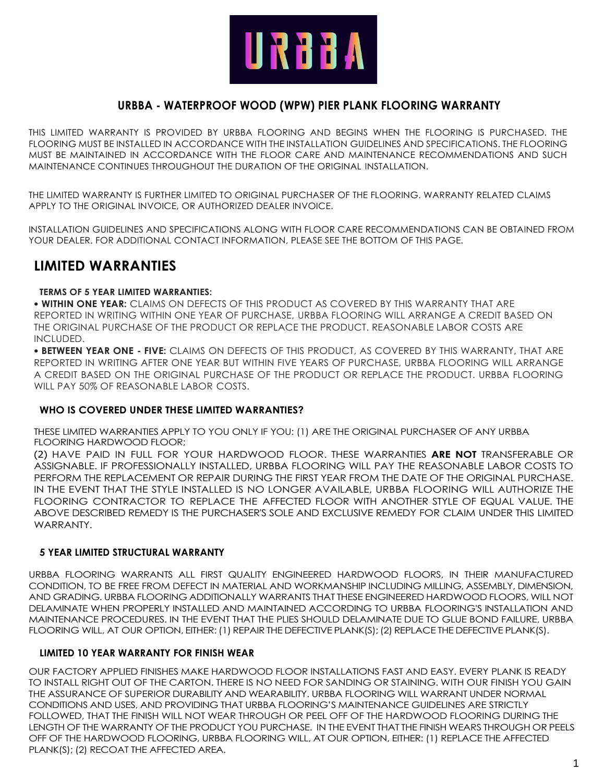

# **URBBA - WATERPROOF WOOD (WPW) PIER PLANK FLOORING WARRANTY**

THIS LIMITED WARRANTY IS PROVIDED BY URBBA FLOORING AND BEGINS WHEN THE FLOORING IS PURCHASED. THE FLOORING MUST BE INSTALLED IN ACCORDANCE WITH THE INSTALLATION GUIDELINES AND SPECIFICATIONS. THE FLOORING MUST BE MAINTAINED IN ACCORDANCE WITH THE FLOOR CARE AND MAINTENANCE RECOMMENDATIONS AND SUCH MAINTENANCE CONTINUES THROUGHOUT THE DURATION OF THE ORIGINAL INSTALLATION.

THE LIMITED WARRANTY IS FURTHER LIMITED TO ORIGINAL PURCHASER OF THE FLOORING. WARRANTY RELATED CLAIMS APPLY TO THE ORIGINAL INVOICE, OR AUTHORIZED DEALER INVOICE.

INSTALLATION GUIDELINES AND SPECIFICATIONS ALONG WITH FLOOR CARE RECOMMENDATIONS CAN BE OBTAINED FROM YOUR DEALER. FOR ADDITIONAL CONTACT INFORMATION, PLEASE SEE THE BOTTOM OF THIS PAGE.

# **LIMITED WARRANTIES**

#### **TERMS OF 5 YEAR LIMITED WARRANTIES:**

• **WITHIN ONE YEAR:** CLAIMS ON DEFECTS OF THIS PRODUCT AS COVERED BY THIS WARRANTY THAT ARE REPORTED IN WRITING WITHIN ONE YEAR OF PURCHASE, URBBA FLOORING WILL ARRANGE A CREDIT BASED ON THE ORIGINAL PURCHASE OF THE PRODUCT OR REPLACE THE PRODUCT. REASONABLE LABOR COSTS ARE INCLUDED.

• **BETWEEN YEAR ONE - FIVE:** CLAIMS ON DEFECTS OF THIS PRODUCT, AS COVERED BY THIS WARRANTY, THAT ARE REPORTED IN WRITING AFTER ONE YEAR BUT WITHIN FIVE YEARS OF PURCHASE, URBBA FLOORING WILL ARRANGE A CREDIT BASED ON THE ORIGINAL PURCHASE OF THE PRODUCT OR REPLACE THE PRODUCT. URBBA FLOORING WILL PAY 50% OF REASONABLE LABOR COSTS.

### **WHO IS COVERED UNDER THESE LIMITED WARRANTIES?**

THESE LIMITED WARRANTIES APPLY TO YOU ONLY IF YOU: (1) ARE THE ORIGINAL PURCHASER OF ANY URBBA FLOORING HARDWOOD FLOOR;

(2) HAVE PAID IN FULL FOR YOUR HARDWOOD FLOOR. THESE WARRANTIES **ARE NOT** TRANSFERABLE OR ASSIGNABLE. IF PROFESSIONALLY INSTALLED, URBBA FLOORING WILL PAY THE REASONABLE LABOR COSTS TO PERFORM THE REPLACEMENT OR REPAIR DURING THE FIRST YEAR FROM THE DATE OF THE ORIGINAL PURCHASE. IN THE EVENT THAT THE STYLE INSTALLED IS NO LONGER AVAILABLE, URBBA FLOORING WILL AUTHORIZE THE FLOORING CONTRACTOR TO REPLACE THE AFFECTED FLOOR WITH ANOTHER STYLE OF EQUAL VALUE. THE ABOVE DESCRIBED REMEDY IS THE PURCHASER'S SOLE AND EXCLUSIVE REMEDY FOR CLAIM UNDER THIS LIMITED **WARRANTY** 

### **5 YEAR LIMITED STRUCTURAL WARRANTY**

URBBA FLOORING WARRANTS ALL FIRST QUALITY ENGINEERED HARDWOOD FLOORS, IN THEIR MANUFACTURED CONDITION, TO BE FREE FROM DEFECT IN MATERIAL AND WORKMANSHIP INCLUDING MILLING, ASSEMBLY, DIMENSION, AND GRADING. URBBA FLOORING ADDITIONALLY WARRANTS THAT THESE ENGINEERED HARDWOOD FLOORS, WILL NOT DELAMINATE WHEN PROPERLY INSTALLED AND MAINTAINED ACCORDING TO URBBA FLOORING'S INSTALLATION AND MAINTENANCE PROCEDURES. IN THE EVENT THAT THE PLIES SHOULD DELAMINATE DUE TO GLUE BOND FAILURE, URBBA FLOORING WILL, AT OUR OPTION, EITHER: (1) REPAIR THE DEFECTIVE PLANK(S); (2) REPLACE THE DEFECTIVE PLANK(S).

### **LIMITED 10 YEAR WARRANTY FOR FINISH WEAR**

OUR FACTORY APPLIED FINISHES MAKE HARDWOOD FLOOR INSTALLATIONS FAST AND EASY. EVERY PLANK IS READY TO INSTALL RIGHT OUT OF THE CARTON. THERE IS NO NEED FOR SANDING OR STAINING. WITH OUR FINISH YOU GAIN THE ASSURANCE OF SUPERIOR DURABILITY AND WEARABILITY. URBBA FLOORING WILL WARRANT UNDER NORMAL CONDITIONS AND USES, AND PROVIDING THAT URBBA FLOORING'S MAINTENANCE GUIDELINES ARE STRICTLY FOLLOWED, THAT THE FINISH WILL NOT WEAR THROUGH OR PEEL OFF OF THE HARDWOOD FLOORING DURING THE LENGTH OF THE WARRANTY OF THE PRODUCT YOU PURCHASE. IN THE EVENT THAT THE FINISH WEARS THROUGH OR PEELS OFF OF THE HARDWOOD FLOORING, URBBA FLOORING WILL, AT OUR OPTION, EITHER: (1) REPLACE THE AFFECTED PLANK(S); (2) RECOAT THE AFFECTED AREA.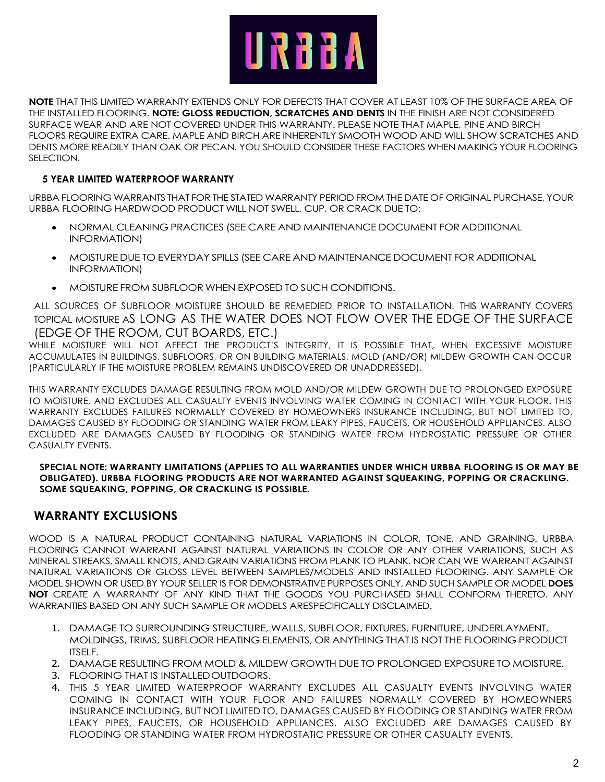

**NOTE** THAT THIS LIMITED WARRANTY EXTENDS ONLY FOR DEFECTS THAT COVER AT LEAST 10% OF THE SURFACE AREA OF THE INSTALLED FLOORING. **NOTE: GLOSS REDUCTION, SCRATCHES AND DENTS** IN THE FINISH ARE NOT CONSIDERED SURFACE WEAR AND ARE NOT COVERED UNDER THIS WARRANTY. PLEASE NOTE THAT MAPLE, PINE AND BIRCH FLOORS REQUIRE EXTRA CARE. MAPLE AND BIRCH ARE INHERENTLY SMOOTH WOOD AND WILL SHOW SCRATCHES AND DENTS MORE READILY THAN OAK OR PECAN. YOU SHOULD CONSIDER THESE FACTORS WHEN MAKING YOUR FLOORING SELECTION.

# **5 YEAR LIMITED WATERPROOF WARRANTY**

URBBA FLOORING WARRANTS THAT FOR THE STATED WARRANTY PERIOD FROM THE DATE OF ORIGINAL PURCHASE, YOUR URBBA FLOORING HARDWOOD PRODUCT WILL NOT SWELL, CUP, OR CRACK DUE TO:

- NORMAL CLEANING PRACTICES (SEE CARE AND MAINTENANCE DOCUMENT FOR ADDITIONAL INFORMATION)
- MOISTURE DUE TO EVERYDAY SPILLS (SEE CARE AND MAINTENANCE DOCUMENT FOR ADDITIONAL INFORMATION)
- MOISTURE FROM SUBFLOOR WHEN EXPOSED TO SUCH CONDITIONS.

ALL SOURCES OF SUBFLOOR MOISTURE SHOULD BE REMEDIED PRIOR TO INSTALLATION. THIS WARRANTY COVERS TOPICAL MOISTURE AS LONG AS THE WATER DOES NOT FLOW OVER THE EDGE OF THE SURFACE (EDGE OF THE ROOM, CUT BOARDS, ETC.)

WHILE MOISTURE WILL NOT AFFECT THE PRODUCT'S INTEGRITY, IT IS POSSIBLE THAT, WHEN EXCESSIVE MOISTURE ACCUMULATES IN BUILDINGS, SUBFLOORS, OR ON BUILDING MATERIALS, MOLD (AND/OR) MILDEW GROWTH CAN OCCUR (PARTICULARLY IF THE MOISTURE PROBLEM REMAINS UNDISCOVERED OR UNADDRESSED).

THIS WARRANTY EXCLUDES DAMAGE RESULTING FROM MOLD AND/OR MILDEW GROWTH DUE TO PROLONGED EXPOSURE TO MOISTURE, AND EXCLUDES ALL CASUALTY EVENTS INVOLVING WATER COMING IN CONTACT WITH YOUR FLOOR. THIS WARRANTY EXCLUDES FAILURES NORMALLY COVERED BY HOMEOWNERS INSURANCE INCLUDING, BUT NOT LIMITED TO, DAMAGES CAUSED BY FLOODING OR STANDING WATER FROM LEAKY PIPES, FAUCETS, OR HOUSEHOLD APPLIANCES. ALSO EXCLUDED ARE DAMAGES CAUSED BY FLOODING OR STANDING WATER FROM HYDROSTATIC PRESSURE OR OTHER CASUALTY EVENTS.

**SPECIAL NOTE: WARRANTY LIMITATIONS (APPLIES TO ALL WARRANTIES UNDER WHICH URBBA FLOORING IS OR MAY BE OBLIGATED). URBBA FLOORING PRODUCTS ARE NOT WARRANTED AGAINST SQUEAKING, POPPING OR CRACKLING. SOME SQUEAKING, POPPING, OR CRACKLING IS POSSIBLE.**

# **WARRANTY EXCLUSIONS**

WOOD IS A NATURAL PRODUCT CONTAINING NATURAL VARIATIONS IN COLOR, TONE, AND GRAINING. URBBA FLOORING CANNOT WARRANT AGAINST NATURAL VARIATIONS IN COLOR OR ANY OTHER VARIATIONS, SUCH AS MINERAL STREAKS, SMALL KNOTS, AND GRAIN VARIATIONS FROM PLANK TO PLANK. NOR CAN WE WARRANT AGAINST NATURAL VARIATIONS OR GLOSS LEVEL BETWEEN SAMPLES/MODELS AND INSTALLED FLOORING. ANY SAMPLE OR MODEL SHOWN OR USED BY YOUR SELLER IS FOR DEMONSTRATIVE PURPOSES ONLY, AND SUCH SAMPLE OR MODEL **DOES NOT** CREATE A WARRANTY OF ANY KIND THAT THE GOODS YOU PURCHASED SHALL CONFORM THERETO. ANY WARRANTIES BASED ON ANY SUCH SAMPLE OR MODELS ARESPECIFICALLY DISCLAIMED.

- 1. DAMAGE TO SURROUNDING STRUCTURE, WALLS, SUBFLOOR, FIXTURES, FURNITURE, UNDERLAYMENT, MOLDINGS, TRIMS, SUBFLOOR HEATING ELEMENTS, OR ANYTHING THAT IS NOT THE FLOORING PRODUCT ITSELF.
- 2. DAMAGE RESULTING FROM MOLD & MILDEW GROWTH DUE TO PROLONGED EXPOSURE TO MOISTURE.
- 3. FLOORING THAT IS INSTALLED OUTDOORS.
- 4. THIS 5 YEAR LIMITED WATERPROOF WARRANTY EXCLUDES ALL CASUALTY EVENTS INVOLVING WATER COMING IN CONTACT WITH YOUR FLOOR AND FAILURES NORMALLY COVERED BY HOMEOWNERS INSURANCE INCLUDING, BUT NOT LIMITED TO, DAMAGES CAUSED BY FLOODING OR STANDING WATER FROM LEAKY PIPES, FAUCETS, OR HOUSEHOLD APPLIANCES. ALSO EXCLUDED ARE DAMAGES CAUSED BY FLOODING OR STANDING WATER FROM HYDROSTATIC PRESSURE OR OTHER CASUALTY EVENTS.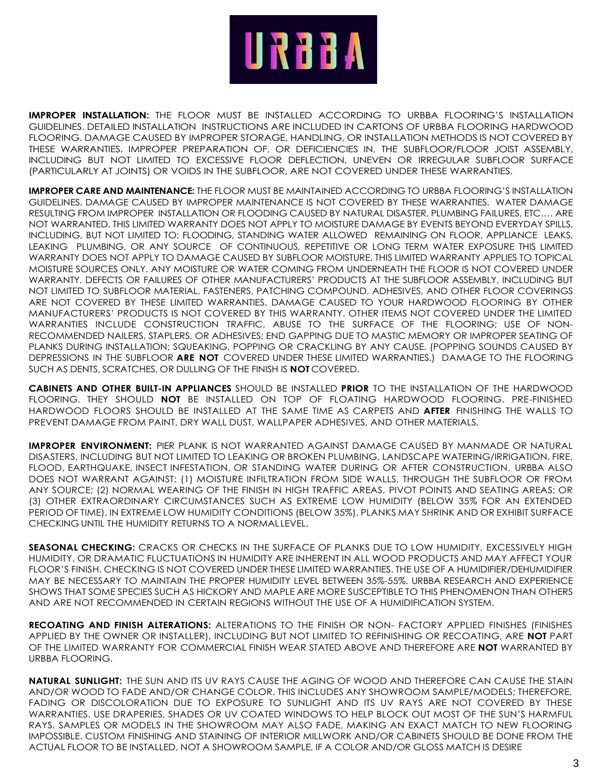

**IMPROPER INSTALLATION:** THE FLOOR MUST BE INSTALLED ACCORDING TO URBBA FLOORING'S INSTALLATION GUIDELINES. DETAILED INSTALLATION INSTRUCTIONS ARE INCLUDED IN CARTONS OF URBBA FLOORING HARDWOOD FLOORING. DAMAGE CAUSED BY IMPROPER STORAGE, HANDLING, OR INSTALLATION METHODS IS NOT COVERED BY THESE WARRANTIES. IMPROPER PREPARATION OF, OR DEFICIENCIES IN, THE SUBFLOOR/FLOOR JOIST ASSEMBLY, INCLUDING BUT NOT LIMITED TO EXCESSIVE FLOOR DEFLECTION, UNEVEN OR IRREGULAR SUBFLOOR SURFACE (PARTICULARLY AT JOINTS) OR VOIDS IN THE SUBFLOOR, ARE NOT COVERED UNDER THESE WARRANTIES.

**IMPROPER CARE AND MAINTENANCE:** THE FLOOR MUST BE MAINTAINED ACCORDING TO URBBA FLOORING'S INSTALLATION GUIDELINES. DAMAGE CAUSED BY IMPROPER MAINTENANCE IS NOT COVERED BY THESE WARRANTIES. WATER DAMAGE RESULTING FROM IMPROPER INSTALLATION OR FLOODING CAUSED BY NATURAL DISASTER, PLUMBING FAILURES, ETC.… ARE NOT WARRANTED. THIS LIMITED WARRANTY DOES NOT APPLY TO MOISTURE DAMAGE BY EVENTS BEYOND EVERYDAY SPILLS, INCLUDING, BUT NOT LIMITED TO: FLOODING, STANDING WATER ALLOWED REMAINING ON FLOOR, APPLIANCE LEAKS, LEAKING PLUMBING, OR ANY SOURCE OF CONTINUOUS, REPETITIVE OR LONG TERM WATER EXPOSURE THIS LIMITED WARRANTY DOES NOT APPLY TO DAMAGE CAUSED BY SUBFLOOR MOISTURE. THIS LIMITED WARRANTY APPLIES TO TOPICAL MOISTURE SOURCES ONLY. ANY MOISTURE OR WATER COMING FROM UNDERNEATH THE FLOOR IS NOT COVERED UNDER WARRANTY. DEFECTS OR FAILURES OF OTHER MANUFACTURERS' PRODUCTS AT THE SUBFLOOR ASSEMBLY, INCLUDING BUT NOT LIMITED TO SUBFLOOR MATERIAL, FASTENERS, PATCHING COMPOUND, ADHESIVES, AND OTHER FLOOR COVERINGS ARE NOT COVERED BY THESE LIMITED WARRANTIES. DAMAGE CAUSED TO YOUR HARDWOOD FLOORING BY OTHER MANUFACTURERS' PRODUCTS IS NOT COVERED BY THIS WARRANTY. OTHER ITEMS NOT COVERED UNDER THE LIMITED WARRANTIES INCLUDE CONSTRUCTION TRAFFIC, ABUSE TO THE SURFACE OF THE FLOORING; USE OF NON-RECOMMENDED NAILERS, STAPLERS, OR ADHESIVES; END GAPPING DUE TO MASTIC MEMORY OR IMPROPER SEATING OF PLANKS DURING INSTALLATION; SQUEAKING, POPPING OR CRACKLING BY ANY CAUSE. (POPPING SOUNDS CAUSED BY DEPRESSIONS IN THE SUBFLOOR **ARE NOT** COVERED UNDER THESE LIMITED WARRANTIES.) DAMAGE TO THE FLOORING SUCH AS DENTS, SCRATCHES, OR DULLING OF THE FINISH IS **NOT** COVERED.

**CABINETS AND OTHER BUILT-IN APPLIANCES** SHOULD BE INSTALLED **PRIOR** TO THE INSTALLATION OF THE HARDWOOD FLOORING. THEY SHOULD **NOT** BE INSTALLED ON TOP OF FLOATING HARDWOOD FLOORING. PRE-FINISHED HARDWOOD FLOORS SHOULD BE INSTALLED AT THE SAME TIME AS CARPETS AND **AFTER** FINISHING THE WALLS TO PREVENT DAMAGE FROM PAINT, DRY WALL DUST, WALLPAPER ADHESIVES, AND OTHER MATERIALS.

**IMPROPER ENVIRONMENT:** PIER PLANK IS NOT WARRANTED AGAINST DAMAGE CAUSED BY MANMADE OR NATURAL DISASTERS, INCLUDING BUT NOT LIMITED TO LEAKING OR BROKEN PLUMBING, LANDSCAPE WATERING/IRRIGATION, FIRE, FLOOD, EARTHQUAKE, INSECT INFESTATION, OR STANDING WATER DURING OR AFTER CONSTRUCTION. URBBA ALSO DOES NOT WARRANT AGAINST: (1) MOISTURE INFILTRATION FROM SIDE WALLS, THROUGH THE SUBFLOOR OR FROM ANY SOURCE; (2) NORMAL WEARING OF THE FINISH IN HIGH TRAFFIC AREAS, PIVOT POINTS AND SEATING AREAS; OR (3) OTHER EXTRAORDINARY CIRCUMSTANCES SUCH AS EXTREME LOW HUMIDITY (BELOW 35% FOR AN EXTENDED PERIOD OF TIME). IN EXTREME LOW HUMIDITY CONDITIONS (BELOW 35%), PLANKS MAY SHRINK AND OR EXHIBIT SURFACE CHECKING UNTIL THE HUMIDITY RETURNS TO A NORMALLEVEL.

**SEASONAL CHECKING:** CRACKS OR CHECKS IN THE SURFACE OF PLANKS DUE TO LOW HUMIDITY, EXCESSIVELY HIGH HUMIDITY, OR DRAMATIC FLUCTUATIONS IN HUMIDITY ARE INHERENT IN ALL WOOD PRODUCTS AND MAY AFFECT YOUR FLOOR'S FINISH. CHECKING IS NOT COVERED UNDER THESE LIMITED WARRANTIES. THE USE OF A HUMIDIFIER/DEHUMIDIFIER MAY BE NECESSARY TO MAINTAIN THE PROPER HUMIDITY LEVEL BETWEEN 35%-55%. URBBA RESEARCH AND EXPERIENCE SHOWS THAT SOME SPECIES SUCH AS HICKORY AND MAPLE ARE MORE SUSCEPTIBLE TO THIS PHENOMENON THAN OTHERS AND ARE NOT RECOMMENDED IN CERTAIN REGIONS WITHOUT THE USE OF A HUMIDIFICATION SYSTEM.

**RECOATING AND FINISH ALTERATIONS:** ALTERATIONS TO THE FINISH OR NON- FACTORY APPLIED FINISHES (FINISHES APPLIED BY THE OWNER OR INSTALLER), INCLUDING BUT NOT LIMITED TO REFINISHING OR RECOATING, ARE **NOT** PART OF THE LIMITED WARRANTY FOR COMMERCIAL FINISH WEAR STATED ABOVE AND THEREFORE ARE **NOT** WARRANTED BY URBBA FLOORING.

**NATURAL SUNLIGHT:** THE SUN AND ITS UV RAYS CAUSE THE AGING OF WOOD AND THEREFORE CAN CAUSE THE STAIN AND/OR WOOD TO FADE AND/OR CHANGE COLOR. THIS INCLUDES ANY SHOWROOM SAMPLE/MODELS; THEREFORE, FADING OR DISCOLORATION DUE TO EXPOSURE TO SUNLIGHT AND ITS UV RAYS ARE NOT COVERED BY THESE WARRANTIES. USE DRAPERIES, SHADES OR UV COATED WINDOWS TO HELP BLOCK OUT MOST OF THE SUN'S HARMFUL RAYS. SAMPLES OR MODELS IN THE SHOWROOM MAY ALSO FADE, MAKING AN EXACT MATCH TO NEW FLOORING IMPOSSIBLE. CUSTOM FINISHING AND STAINING OF INTERIOR MILLWORK AND/OR CABINETS SHOULD BE DONE FROM THE ACTUAL FLOOR TO BE INSTALLED, NOT A SHOWROOM SAMPLE, IF A COLOR AND/OR GLOSS MATCH IS DESIRE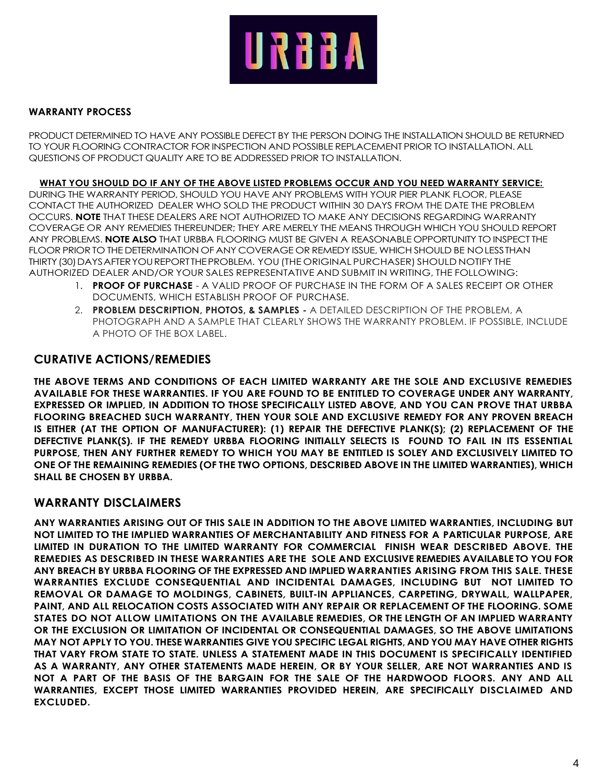

## **WARRANTY PROCESS**

PRODUCT DETERMINED TO HAVE ANY POSSIBLE DEFECT BY THE PERSON DOING THE INSTALLATION SHOULD BE RETURNED TO YOUR FLOORING CONTRACTOR FOR INSPECTION AND POSSIBLE REPLACEMENT PRIOR TO INSTALLATION. ALL QUESTIONS OF PRODUCT QUALITY ARE TO BE ADDRESSED PRIOR TO INSTALLATION.

**WHAT YOU SHOULD DO IF ANY OF THE ABOVE LISTED PROBLEMS OCCUR AND YOU NEED WARRANTY SERVICE:**

DURING THE WARRANTY PERIOD, SHOULD YOU HAVE ANY PROBLEMS WITH YOUR PIER PLANK FLOOR, PLEASE CONTACT THE AUTHORIZED DEALER WHO SOLD THE PRODUCT WITHIN 30 DAYS FROM THE DATE THE PROBLEM OCCURS. **NOTE** THAT THESE DEALERS ARE NOT AUTHORIZED TO MAKE ANY DECISIONS REGARDING WARRANTY COVERAGE OR ANY REMEDIES THEREUNDER; THEY ARE MERELY THE MEANS THROUGH WHICH YOU SHOULD REPORT ANY PROBLEMS. **NOTE ALSO** THAT URBBA FLOORING MUST BE GIVEN A REASONABLE OPPORTUNITY TO INSPECT THE FLOOR PRIOR TO THE DETERMINATION OF ANY COVERAGE OR REMEDY ISSUE, WHICH SHOULD BE NOLESSTHAN THIRTY(30)DAYSAFTERYOUREPORTTHEPROBLEM. YOU(THE ORIGINAL PURCHASER) SHOULD NOTIFY THE AUTHORIZED DEALER AND/OR YOUR SALES REPRESENTATIVE AND SUBMIT IN WRITING, THE FOLLOWING:

- 1. **PROOF OF PURCHASE**  A VALID PROOF OF PURCHASE IN THE FORM OF A SALES RECEIPT OR OTHER DOCUMENTS, WHICH ESTABLISH PROOF OF PURCHASE.
- 2. **PROBLEM DESCRIPTION, PHOTOS, & SAMPLES -** A DETAILED DESCRIPTION OF THE PROBLEM, A PHOTOGRAPH AND A SAMPLE THAT CLEARLY SHOWS THE WARRANTY PROBLEM. IF POSSIBLE, INCLUDE A PHOTO OF THE BOX LABEL.

# **CURATIVE ACTIONS/REMEDIES**

**THE ABOVE TERMS AND CONDITIONS OF EACH LIMITED WARRANTY ARE THE SOLE AND EXCLUSIVE REMEDIES AVAILABLE FOR THESE WARRANTIES. IF YOU ARE FOUND TO BE ENTITLED TO COVERAGE UNDER ANY WARRANTY, EXPRESSED OR IMPLIED, IN ADDITION TO THOSE SPECIFICALLY LISTED ABOVE, AND YOU CAN PROVE THAT URBBA FLOORING BREACHED SUCH WARRANTY, THEN YOUR SOLE AND EXCLUSIVE REMEDY FOR ANY PROVEN BREACH IS EITHER (AT THE OPTION OF MANUFACTURER): (1) REPAIR THE DEFECTIVE PLANK(S); (2) REPLACEMENT OF THE DEFECTIVE PLANK(S). IF THE REMEDY URBBA FLOORING INITIALLY SELECTS IS FOUND TO FAIL IN ITS ESSENTIAL PURPOSE, THEN ANY FURTHER REMEDY TO WHICH YOU MAY BE ENTITLED IS SOLEY AND EXCLUSIVELY LIMITED TO ONE OF THE REMAINING REMEDIES (OF THE TWO OPTIONS, DESCRIBED ABOVE IN THE LIMITED WARRANTIES), WHICH SHALL BE CHOSEN BY URBBA.**

# **WARRANTY DISCLAIMERS**

**ANY WARRANTIES ARISING OUT OF THIS SALE IN ADDITION TO THE ABOVE LIMITED WARRANTIES, INCLUDING BUT NOT LIMITED TO THE IMPLIED WARRANTIES OF MERCHANTABILITY AND FITNESS FOR A PARTICULAR PURPOSE, ARE LIMITED IN DURATION TO THE LIMITED WARRANTY FOR COMMERCIAL FINISH WEAR DESCRIBED ABOVE. THE REMEDIES AS DESCRIBED IN THESE WARRANTIES ARE THE SOLE AND EXCLUSIVE REMEDIES AVAILABLE TO YOU FOR ANY BREACH BY URBBA FLOORING OF THE EXPRESSED AND IMPLIED WARRANTIES ARISING FROM THIS SALE. THESE WARRANTIES EXCLUDE CONSEQUENTIAL AND INCIDENTAL DAMAGES, INCLUDING BUT NOT LIMITED TO REMOVAL OR DAMAGE TO MOLDINGS, CABINETS, BUILT-IN APPLIANCES, CARPETING, DRYWALL, WALLPAPER, PAINT, AND ALL RELOCATION COSTS ASSOCIATED WITH ANY REPAIR OR REPLACEMENT OF THE FLOORING. SOME STATES DO NOT ALLOW LIMITATIONS ON THE AVAILABLE REMEDIES, OR THE LENGTH OF AN IMPLIED WARRANTY OR THE EXCLUSION OR LIMITATION OF INCIDENTAL OR CONSEQUENTIAL DAMAGES, SO THE ABOVE LIMITATIONS MAY NOT APPLY TO YOU. THESE WARRANTIES GIVE YOU SPECIFIC LEGAL RIGHTS, AND YOU MAY HAVE OTHER RIGHTS THAT VARY FROM STATE TO STATE. UNLESS A STATEMENT MADE IN THIS DOCUMENT IS SPECIFICALLY IDENTIFIED AS A WARRANTY, ANY OTHER STATEMENTS MADE HEREIN, OR BY YOUR SELLER, ARE NOT WARRANTIES AND IS NOT A PART OF THE BASIS OF THE BARGAIN FOR THE SALE OF THE HARDWOOD FLOORS. ANY AND ALL WARRANTIES, EXCEPT THOSE LIMITED WARRANTIES PROVIDED HEREIN, ARE SPECIFICALLY DISCLAIMED AND EXCLUDED.**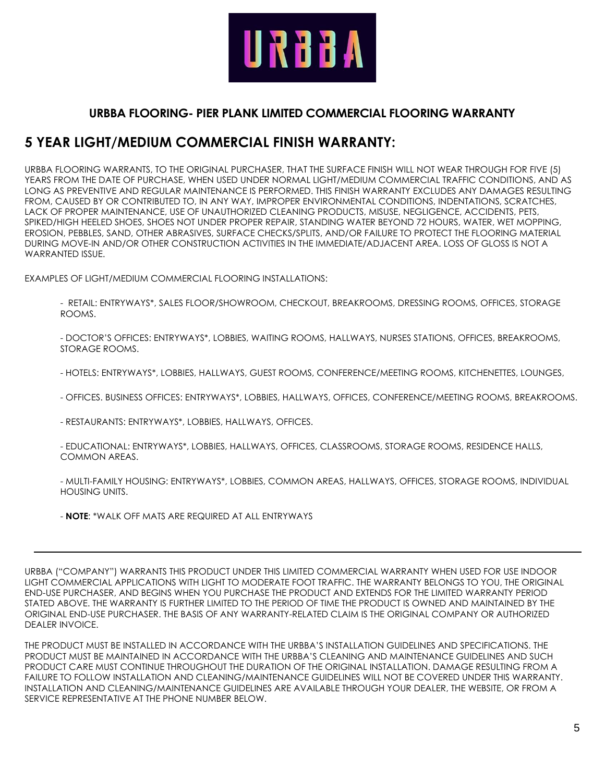

# **URBBA FLOORING- PIER PLANK LIMITED COMMERCIAL FLOORING WARRANTY**

# **5 YEAR LIGHT/MEDIUM COMMERCIAL FINISH WARRANTY:**

URBBA FLOORING WARRANTS, TO THE ORIGINAL PURCHASER, THAT THE SURFACE FINISH WILL NOT WEAR THROUGH FOR FIVE (5) YEARS FROM THE DATE OF PURCHASE, WHEN USED UNDER NORMAL LIGHT/MEDIUM COMMERCIAL TRAFFIC CONDITIONS, AND AS LONG AS PREVENTIVE AND REGULAR MAINTENANCE IS PERFORMED. THIS FINISH WARRANTY EXCLUDES ANY DAMAGES RESULTING FROM, CAUSED BY OR CONTRIBUTED TO, IN ANY WAY, IMPROPER ENVIRONMENTAL CONDITIONS, INDENTATIONS, SCRATCHES, LACK OF PROPER MAINTENANCE, USE OF UNAUTHORIZED CLEANING PRODUCTS, MISUSE, NEGLIGENCE, ACCIDENTS, PETS, SPIKED/HIGH HEELED SHOES, SHOES NOT UNDER PROPER REPAIR, STANDING WATER BEYOND 72 HOURS, WATER, WET MOPPING, EROSION, PEBBLES, SAND, OTHER ABRASIVES, SURFACE CHECKS/SPLITS, AND/OR FAILURE TO PROTECT THE FLOORING MATERIAL DURING MOVE-IN AND/OR OTHER CONSTRUCTION ACTIVITIES IN THE IMMEDIATE/ADJACENT AREA. LOSS OF GLOSS IS NOT A WARRANTED ISSUE.

EXAMPLES OF LIGHT/MEDIUM COMMERCIAL FLOORING INSTALLATIONS:

- RETAIL: ENTRYWAYS\*, SALES FLOOR/SHOWROOM, CHECKOUT, BREAKROOMS, DRESSING ROOMS, OFFICES, STORAGE ROOMS.

- DOCTOR'S OFFICES: ENTRYWAYS\*, LOBBIES, WAITING ROOMS, HALLWAYS, NURSES STATIONS, OFFICES, BREAKROOMS, STORAGE ROOMS.

- HOTELS: ENTRYWAYS\*, LOBBIES, HALLWAYS, GUEST ROOMS, CONFERENCE/MEETING ROOMS, KITCHENETTES, LOUNGES,

- OFFICES. BUSINESS OFFICES: ENTRYWAYS\*, LOBBIES, HALLWAYS, OFFICES, CONFERENCE/MEETING ROOMS, BREAKROOMS.

- RESTAURANTS: ENTRYWAYS\*, LOBBIES, HALLWAYS, OFFICES.

- EDUCATIONAL: ENTRYWAYS\*, LOBBIES, HALLWAYS, OFFICES, CLASSROOMS, STORAGE ROOMS, RESIDENCE HALLS, COMMON AREAS.

- MULTI-FAMILY HOUSING: ENTRYWAYS\*, LOBBIES, COMMON AREAS, HALLWAYS, OFFICES, STORAGE ROOMS, INDIVIDUAL HOUSING UNITS.

- **NOTE**: \*WALK OFF MATS ARE REQUIRED AT ALL ENTRYWAYS

URBBA ("COMPANY") WARRANTS THIS PRODUCT UNDER THIS LIMITED COMMERCIAL WARRANTY WHEN USED FOR USE INDOOR LIGHT COMMERCIAL APPLICATIONS WITH LIGHT TO MODERATE FOOT TRAFFIC. THE WARRANTY BELONGS TO YOU, THE ORIGINAL END-USE PURCHASER, AND BEGINS WHEN YOU PURCHASE THE PRODUCT AND EXTENDS FOR THE LIMITED WARRANTY PERIOD STATED ABOVE. THE WARRANTY IS FURTHER LIMITED TO THE PERIOD OF TIME THE PRODUCT IS OWNED AND MAINTAINED BY THE ORIGINAL END-USE PURCHASER. THE BASIS OF ANY WARRANTY-RELATED CLAIM IS THE ORIGINAL COMPANY OR AUTHORIZED DEALER INVOICE.

THE PRODUCT MUST BE INSTALLED IN ACCORDANCE WITH THE URBBA'S INSTALLATION GUIDELINES AND SPECIFICATIONS. THE PRODUCT MUST BE MAINTAINED IN ACCORDANCE WITH THE URBBA'S CLEANING AND MAINTENANCE GUIDELINES AND SUCH PRODUCT CARE MUST CONTINUE THROUGHOUT THE DURATION OF THE ORIGINAL INSTALLATION. DAMAGE RESULTING FROM A FAILURE TO FOLLOW INSTALLATION AND CLEANING/MAINTENANCE GUIDELINES WILL NOT BE COVERED UNDER THIS WARRANTY. INSTALLATION AND CLEANING/MAINTENANCE GUIDELINES ARE AVAILABLE THROUGH YOUR DEALER, THE WEBSITE, OR FROM A SERVICE REPRESENTATIVE AT THE PHONE NUMBER BELOW.